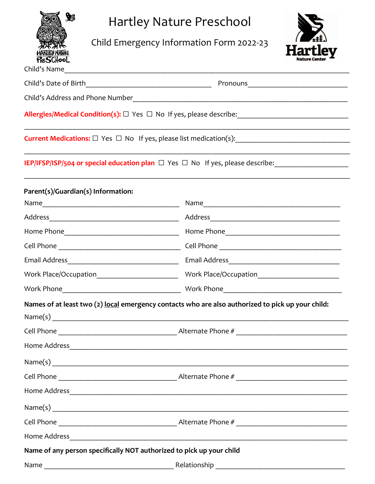| $\mathbf{y}$            |  |
|-------------------------|--|
|                         |  |
| <b>EY NAMPRE</b><br>har |  |
| PreSchool               |  |

Child's Name

Hartley Nature Preschool

Child Emergency Information Form 2022-23



| Child's Date of Birth                                                | Pronouns                                                                                             |  |  |
|----------------------------------------------------------------------|------------------------------------------------------------------------------------------------------|--|--|
|                                                                      |                                                                                                      |  |  |
|                                                                      | Allergies/Medical Condition(s): □ Yes □ No If yes, please describe: ________________________________ |  |  |
|                                                                      |                                                                                                      |  |  |
|                                                                      | IEP/IFSP/ISP/504 or special education plan $\Box$ Yes $\Box$ No If yes, please describe:             |  |  |
| Parent(s)/Guardian(s) Information:                                   |                                                                                                      |  |  |
|                                                                      |                                                                                                      |  |  |
|                                                                      |                                                                                                      |  |  |
|                                                                      |                                                                                                      |  |  |
|                                                                      |                                                                                                      |  |  |
|                                                                      |                                                                                                      |  |  |
| Work Place/Occupation__________________________                      |                                                                                                      |  |  |
|                                                                      |                                                                                                      |  |  |
|                                                                      | Names of at least two (2) local emergency contacts who are also authorized to pick up your child:    |  |  |
|                                                                      |                                                                                                      |  |  |
|                                                                      |                                                                                                      |  |  |
| <b>Home Address</b>                                                  |                                                                                                      |  |  |
|                                                                      |                                                                                                      |  |  |
|                                                                      |                                                                                                      |  |  |
|                                                                      |                                                                                                      |  |  |
|                                                                      |                                                                                                      |  |  |
|                                                                      |                                                                                                      |  |  |
|                                                                      |                                                                                                      |  |  |
| Name of any person specifically NOT authorized to pick up your child |                                                                                                      |  |  |
|                                                                      |                                                                                                      |  |  |
|                                                                      |                                                                                                      |  |  |